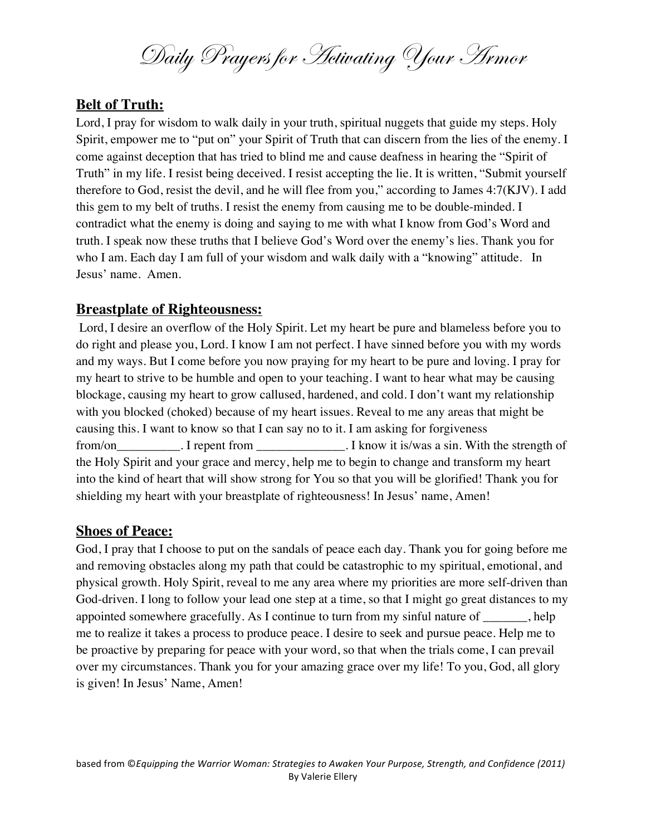Daily Prayers for Activating Your Armor

# **Belt of Truth:**

Lord, I pray for wisdom to walk daily in your truth, spiritual nuggets that guide my steps. Holy Spirit, empower me to "put on" your Spirit of Truth that can discern from the lies of the enemy. I come against deception that has tried to blind me and cause deafness in hearing the "Spirit of Truth" in my life. I resist being deceived. I resist accepting the lie. It is written, "Submit yourself therefore to God, resist the devil, and he will flee from you," according to James 4:7(KJV). I add this gem to my belt of truths. I resist the enemy from causing me to be double-minded. I contradict what the enemy is doing and saying to me with what I know from God's Word and truth. I speak now these truths that I believe God's Word over the enemy's lies. Thank you for who I am. Each day I am full of your wisdom and walk daily with a "knowing" attitude. In Jesus' name. Amen.

## **Breastplate of Righteousness:**

Lord, I desire an overflow of the Holy Spirit. Let my heart be pure and blameless before you to do right and please you, Lord. I know I am not perfect. I have sinned before you with my words and my ways. But I come before you now praying for my heart to be pure and loving. I pray for my heart to strive to be humble and open to your teaching. I want to hear what may be causing blockage, causing my heart to grow callused, hardened, and cold. I don't want my relationship with you blocked (choked) because of my heart issues. Reveal to me any areas that might be causing this. I want to know so that I can say no to it. I am asking for forgiveness from/on From I repent from The I know it is/was a sin. With the strength of the Holy Spirit and your grace and mercy, help me to begin to change and transform my heart into the kind of heart that will show strong for You so that you will be glorified! Thank you for shielding my heart with your breastplate of righteousness! In Jesus' name, Amen!

## **Shoes of Peace:**

God, I pray that I choose to put on the sandals of peace each day. Thank you for going before me and removing obstacles along my path that could be catastrophic to my spiritual, emotional, and physical growth. Holy Spirit, reveal to me any area where my priorities are more self-driven than God-driven. I long to follow your lead one step at a time, so that I might go great distances to my appointed somewhere gracefully. As I continue to turn from my sinful nature of help me to realize it takes a process to produce peace. I desire to seek and pursue peace. Help me to be proactive by preparing for peace with your word, so that when the trials come, I can prevail over my circumstances. Thank you for your amazing grace over my life! To you, God, all glory is given! In Jesus' Name, Amen!